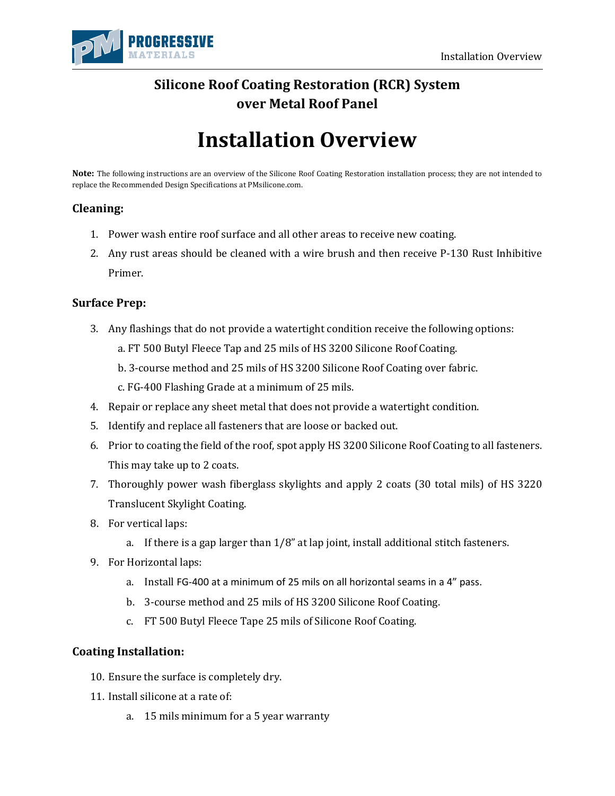

# **Silicone Roof Coating Restoration (RCR) System over Metal Roof Panel**

# **Installation Overview**

**Note:** The following instructions are an overview of the Silicone Roof Coating Restoration installation process; they are not intended to replace the Recommended Design Specifications at PMsilicone.com.

## **Cleaning:**

- 1. Power wash entire roof surface and all other areas to receive new coating.
- 2. Any rust areas should be cleaned with a wire brush and then receive P-130 Rust Inhibitive Primer.

### **Surface Prep:**

- 3. Any flashings that do not provide a watertight condition receive the following options:
	- a. FT 500 Butyl Fleece Tap and 25 mils of HS 3200 Silicone Roof Coating.
	- b. 3-course method and 25 mils of HS 3200 Silicone Roof Coating over fabric.
	- c. FG-400 Flashing Grade at a minimum of 25 mils.
- 4. Repair or replace any sheet metal that does not provide a watertight condition.
- 5. Identify and replace all fasteners that are loose or backed out.
- 6. Prior to coating the field of the roof, spot apply HS 3200 Silicone Roof Coating to all fasteners. This may take up to 2 coats.
- 7. Thoroughly power wash fiberglass skylights and apply 2 coats (30 total mils) of HS 3220 Translucent Skylight Coating.
- 8. For vertical laps:
	- a. If there is a gap larger than  $1/8$ " at lap joint, install additional stitch fasteners.
- 9. For Horizontal laps:
	- a. Install FG-400 at a minimum of 25 mils on all horizontal seams in a 4" pass.
	- b. 3-course method and 25 mils of HS 3200 Silicone Roof Coating.
	- c. FT 500 Butyl Fleece Tape 25 mils of Silicone Roof Coating.

### **Coating Installation:**

- 10. Ensure the surface is completely dry.
- 11. Install silicone at a rate of:
	- a. 15 mils minimum for a 5 year warranty